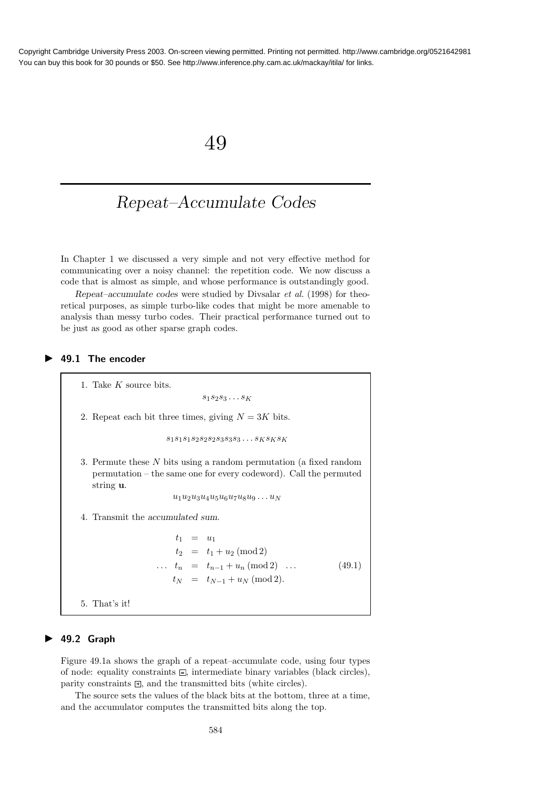## 49

# Repeat–Accumulate Codes

In Chapter 1 we discussed a very simple and not very effective method for communicating over a noisy channel: the repetition code. We now discuss a code that is almost as simple, and whose performance is outstandingly good.

Repeat–accumulate codes were studied by Divsalar et al. (1998) for theoretical purposes, as simple turbo-like codes that might be more amenable to analysis than messy turbo codes. Their practical performance turned out to be just as good as other sparse graph codes.

▶ 49.1 The encoder

1. Take K source bits.  $s_1s_2s_3\ldots s_K$ 2. Repeat each bit three times, giving  $N = 3K$  bits.  $s_1s_1s_1s_2s_2s_2s_3s_3s_3\ldots s_ks_ks_K$ 3. Permute these N bits using a random permutation (a fixed random permutation – the same one for every codeword). Call the permuted string u.  $u_1u_2u_3u_4u_5u_6u_7u_8u_9\dots u_N$ 4. Transmit the accumulated sum.  $t_1 = u_1$  $t_2 = t_1 + u_2 \pmod{2}$ ...  $t_n = t_{n-1} + u_n \pmod{2} \dots$  (49.1)  $t_N = t_{N-1} + u_N \pmod{2}.$ 5. That's it!

#### $\blacktriangleright$  49.2 Graph

Figure 49.1a shows the graph of a repeat–accumulate code, using four types of node: equality constraints  $\Xi$ , intermediate binary variables (black circles), parity constraints  $\exists$ , and the transmitted bits (white circles).

The source sets the values of the black bits at the bottom, three at a time, and the accumulator computes the transmitted bits along the top.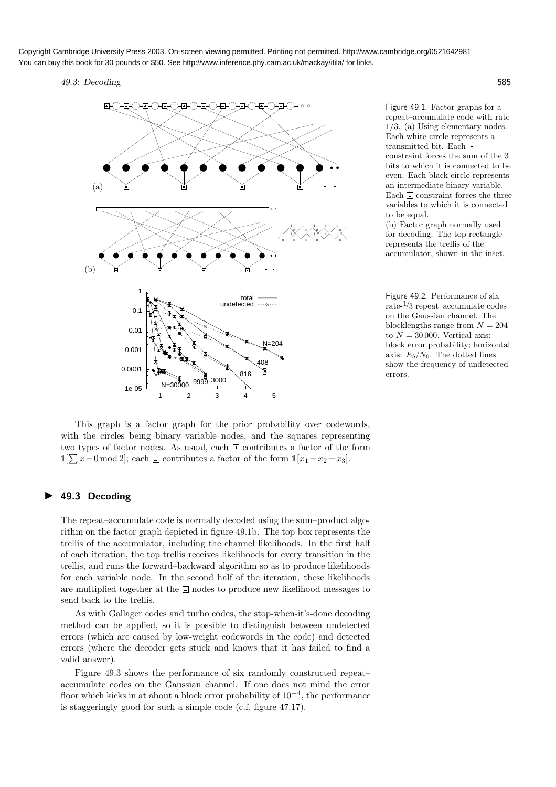#### 49.3: Decoding 585



Figure 49.1. Factor graphs for a repeat–accumulate code with rate 1/3. (a) Using elementary nodes. Each white circle represents a transmitted bit. Each  $\pm$ constraint forces the sum of the 3 bits to which it is connected to be even. Each black circle represents an intermediate binary variable. Each  $\equiv$  constraint forces the three variables to which it is connected to be equal.

(b) Factor graph normally used for decoding. The top rectangle represents the trellis of the accumulator, shown in the inset.

Figure 49.2. Performance of six rate-1/<sup>3</sup> repeat–accumulate codes on the Gaussian channel. The blocklengths range from  $N = 204$ to  $N = 30000$ . Vertical axis: block error probability; horizontal axis:  $E_b/N_0$ . The dotted lines show the frequency of undetected errors.

This graph is a factor graph for the prior probability over codewords, with the circles being binary variable nodes, and the squares representing two types of factor nodes. As usual, each  $\pm$  contributes a factor of the form  $\mathbb{1}[\sum x=0 \mod 2]$ ; each  $\equiv$  contributes a factor of the form  $\mathbb{1}[x_1 = x_2 = x_3]$ .

#### ▶ 49.3 Decoding

The repeat–accumulate code is normally decoded using the sum–product algorithm on the factor graph depicted in figure 49.1b. The top box represents the trellis of the accumulator, including the channel likelihoods. In the first half of each iteration, the top trellis receives likelihoods for every transition in the trellis, and runs the forward–backward algorithm so as to produce likelihoods for each variable node. In the second half of the iteration, these likelihoods are multiplied together at the  $\equiv$  nodes to produce new likelihood messages to send back to the trellis.

As with Gallager codes and turbo codes, the stop-when-it's-done decoding method can be applied, so it is possible to distinguish between undetected errors (which are caused by low-weight codewords in the code) and detected errors (where the decoder gets stuck and knows that it has failed to find a valid answer).

Figure 49.3 shows the performance of six randomly constructed repeat– accumulate codes on the Gaussian channel. If one does not mind the error floor which kicks in at about a block error probability of 10−<sup>4</sup> , the performance is staggeringly good for such a simple code (c.f. figure 47.17).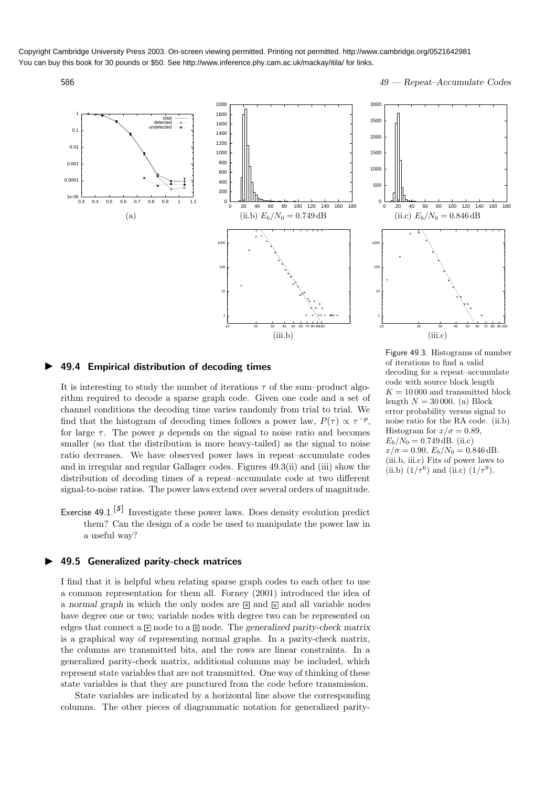586 49 — Repeat–Accumulate Codes





#### ▶ 49.4 Empirical distribution of decoding times

It is interesting to study the number of iterations  $\tau$  of the sum–product algorithm required to decode a sparse graph code. Given one code and a set of channel conditions the decoding time varies randomly from trial to trial. We find that the histogram of decoding times follows a power law,  $P(\tau) \propto \tau^{-p}$ , for large  $\tau$ . The power p depends on the signal to noise ratio and becomes smaller (so that the distribution is more heavy-tailed) as the signal to noise ratio decreases. We have observed power laws in repeat–accumulate codes and in irregular and regular Gallager codes. Figures 49.3(ii) and (iii) show the distribution of decoding times of a repeat–accumulate code at two different signal-to-noise ratios. The power laws extend over several orders of magnitude.

Exercise  $49.1$ .<sup>[5]</sup> Investigate these power laws. Does density evolution predict them? Can the design of a code be used to manipulate the power law in a useful way?

#### ▶ 49.5 Generalized parity-check matrices

I find that it is helpful when relating sparse graph codes to each other to use a common representation for them all. Forney (2001) introduced the idea of a normal graph in which the only nodes are  $\boxplus$  and  $\boxplus$  and all variable nodes have degree one or two; variable nodes with degree two can be represented on edges that connect a  $\boxplus$  node to a  $\boxplus$  node. The generalized parity-check matrix is a graphical way of representing normal graphs. In a parity-check matrix, the columns are transmitted bits, and the rows are linear constraints. In a generalized parity-check matrix, additional columns may be included, which represent state variables that are not transmitted. One way of thinking of these state variables is that they are punctured from the code before transmission.

State variables are indicated by a horizontal line above the corresponding columns. The other pieces of diagrammatic notation for generalized parityFigure 49.3. Histograms of number of iterations to find a valid decoding for a repeat–accumulate code with source block length  $K = 10000$  and transmitted block length  $N = 30000$ . (a) Block error probability versus signal to noise ratio for the RA code. (ii.b) Histogram for  $x/\sigma = 0.89$ ,  $E_b/N_0 = 0.749$  dB. (ii.c)  $x/\sigma = 0.90, E_b/N_0 = 0.846 \text{ dB}.$ (iii.b, iii.c) Fits of power laws to (ii.b)  $(1/\tau^6)$  and (ii.c)  $(1/\tau^9)$ .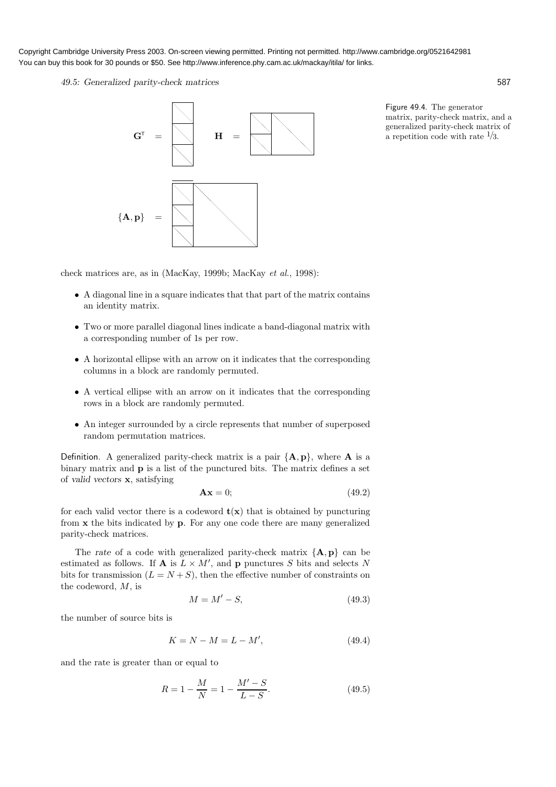49.5: Generalized parity-check matrices 587



Figure 49.4. The generator matrix, parity-check matrix, and a generalized parity-check matrix of a repetition code with rate  $\frac{1}{3}$ .

check matrices are, as in (MacKay, 1999b; MacKay et al., 1998):

- A diagonal line in a square indicates that that part of the matrix contains an identity matrix.
- Two or more parallel diagonal lines indicate a band-diagonal matrix with a corresponding number of 1s per row.
- A horizontal ellipse with an arrow on it indicates that the corresponding columns in a block are randomly permuted.
- A vertical ellipse with an arrow on it indicates that the corresponding rows in a block are randomly permuted.
- An integer surrounded by a circle represents that number of superposed random permutation matrices.

Definition. A generalized parity-check matrix is a pair  ${A, p}$ , where **A** is a binary matrix and p is a list of the punctured bits. The matrix defines a set of valid vectors x, satisfying

$$
\mathbf{A}\mathbf{x} = 0; \tag{49.2}
$$

for each valid vector there is a codeword  $t(x)$  that is obtained by puncturing from x the bits indicated by p. For any one code there are many generalized parity-check matrices.

The rate of a code with generalized parity-check matrix  ${A, p}$  can be estimated as follows. If **A** is  $L \times M'$ , and **p** punctures S bits and selects N bits for transmission  $(L = N + S)$ , then the effective number of constraints on the codeword, M, is

$$
M = M' - S,\t\t(49.3)
$$

the number of source bits is

$$
K = N - M = L - M',
$$
\n(49.4)

and the rate is greater than or equal to

$$
R = 1 - \frac{M}{N} = 1 - \frac{M' - S}{L - S}.
$$
\n(49.5)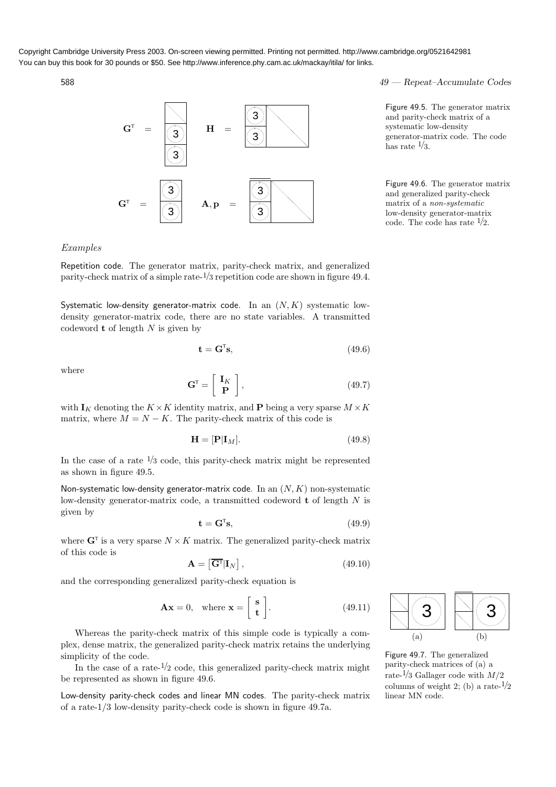

588 49 — Repeat–Accumulate Codes

Figure 49.5. The generator matrix and parity-check matrix of a systematic low-density generator-matrix code. The code has rate  $\frac{1}{3}$ .

Figure 49.6. The generator matrix and generalized parity-check matrix of a non-systematic low-density generator-matrix code. The code has rate  $\frac{1}{2}$ .

### Examples

Repetition code. The generator matrix, parity-check matrix, and generalized parity-check matrix of a simple rate-1/<sup>3</sup> repetition code are shown in figure 49.4.

Systematic low-density generator-matrix code. In an  $(N, K)$  systematic lowdensity generator-matrix code, there are no state variables. A transmitted codeword  $t$  of length  $N$  is given by

$$
\mathbf{t} = \mathbf{G}^{\mathsf{T}} \mathbf{s},\tag{49.6}
$$

where

$$
\mathbf{G}^{\mathsf{T}} = \left[ \begin{array}{c} \mathbf{I}_K \\ \mathbf{P} \end{array} \right],\tag{49.7}
$$

with  $I_K$  denoting the  $K \times K$  identity matrix, and **P** being a very sparse  $M \times K$ matrix, where  $M = N - K$ . The parity-check matrix of this code is

$$
\mathbf{H} = [\mathbf{P}|\mathbf{I}_M].\tag{49.8}
$$

In the case of a rate  $\frac{1}{3}$  code, this parity-check matrix might be represented as shown in figure 49.5.

Non-systematic low-density generator-matrix code. In an  $(N, K)$  non-systematic low-density generator-matrix code, a transmitted codeword  $t$  of length  $N$  is given by

$$
\mathbf{t} = \mathbf{G}^{\mathsf{T}} \mathbf{s},\tag{49.9}
$$

where  $G^{\dagger}$  is a very sparse  $N \times K$  matrix. The generalized parity-check matrix of this code is

$$
\mathbf{A} = \left[ \overline{\mathbf{G}^{\mathsf{T}}} \vert \mathbf{I}_{N} \right],\tag{49.10}
$$

and the corresponding generalized parity-check equation is

$$
\mathbf{A}\mathbf{x} = 0, \quad \text{where } \mathbf{x} = \begin{bmatrix} \mathbf{s} \\ \mathbf{t} \end{bmatrix}.
$$
 (49.11)

Whereas the parity-check matrix of this simple code is typically a complex, dense matrix, the generalized parity-check matrix retains the underlying simplicity of the code.

In the case of a rate- $\frac{1}{2}$  code, this generalized parity-check matrix might be represented as shown in figure 49.6.

Low-density parity-check codes and linear MN codes. The parity-check matrix of a rate-1/3 low-density parity-check code is shown in figure 49.7a.



Figure 49.7. The generalized parity-check matrices of (a) a rate- $\frac{1}{3}$  Gallager code with  $M/2$ columns of weight 2; (b) a rate- $\frac{1}{2}$ linear MN code.